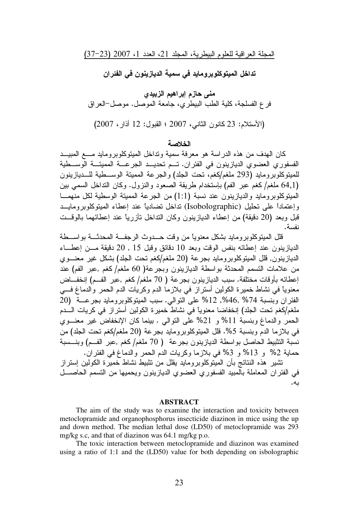تداخل الميتوكلوبرومايد في سمية الديازينون في الفئر ان

منى حازم إبراهيم الزبيدي فر ع الفسلجة، كلية الطب البيطري، جامعة الموصل. موصل–العراق (الأستلام: 23 كانون الثاني، 2007 ؛ القبول: 12 أذار، 2007)

#### الغلامية

كان المهدف من هذه الدراسة هو معرفة سمية ونداخل المبتوكلوبرومايد مـــع المبيـــد الفسفوري العضوي الديازينون في الفئران. تـــم تحديـــد الـجرعــــة المميتـــة الوســــطية للمينوكلوبرومايد (293 ملغم/كغم، نحت الجلد) والجرعة الممينة الوســـطية للـــديازينون (64٫1 ملغم/كغم عبر الفم) بإستخدام طريقة الصعود والنزول. وكان النداخل السمي بين المينوكلوبرومايد والديازينون عند نسبة (1:1) من الجرعة الممينة الوسطية لكل منهمـــا وإعتماداً على تحليل (Isobolographic) تداخل تضادياً عند إعطاء المبتوكلوبرومايـــد قبل وبعد (20 دقيقة) من إعطاء الديازينون وكان النداخل نـأزريـًا عند إعطائـهما بـالوقـــت نفسة.

قلل المبتوكلوبرومايد بشكل معنويًا من وقت حـــدوث الرجفـــة المحدثـــة بواســـطة الديازينون عند إعطائه بنفس الوقت وبعد 10 دقائق وقبل 15 , 20 دقيقة مـــن إعطـــاء الديازينون, قال الميتوكلوبرومايد بجرعة (20 ملغم/كغم نحت الجلد) بشكل غير معنـــوي من علامات النسمم المحدثة بواسطة الديازينون وبجرعة( 60 ملغم/كغم ,عبر الفم) عند إعطائه بأوقات مختلفة. سبب الديازينون بجرعة ( 70 ملغم/كغم ,عبر الفــم) إنخفـــاض معنويًا في نشاط خميرة الكولين أستراز في بلازما الدم وكريات الدم الحمر والدماغ فـــي الفئر ان وبنسبة 74% ,12% ,12% على النوالي. سبب المينوكلوبرومايد بجرعــــة (20 ملغم/كغم تحت الجلد) إنخفاضـا معنوياً في نشاط خميرة الكولين أستراز في كريات الــــدم الحمر والدماغ وبنسبة 11% و 21% على النوالي . بينما كان الإنخفاض غير معنـــوي في بلازما الدم وبنسبة 5%. قلل المينوكلوبرومايد بجرعة (20 ملغم/كغم نحت الجلد) من نسبة التثبيط الحاصل بواسطة الديازينون بجرعة ( 70 ملغم/كغم ,عبر الفــم) وبنـــسبة حماية 2% و 13% و 3% في بلازما وكريات الدم الحمر والدماغ في الفئران. نشير هذه النتائج بأن المبتوكلوبرومايد يقلل من نثبيط نشاط خميرة الكولين إستراز

في الفئر ان المعاملة بالمبيد الفسفوري العضوي الديازينون ويحميها من التسمم الحاصـــل E
.

#### **ABSTRACT**

The aim of the study was to examine the interaction and toxicity between metoclopramide and organophosphorus insecticide diazinon in mice using the up and down method. The median lethal dose (LD50) of metoclopramide was 293 mg/kg s.c, and that of diazinon was 64.1 mg/kg p.o.

The toxic interaction between metoclopramide and diazinon was examined using a ratio of 1:1 and the (LD50) value for both depending on isbolographic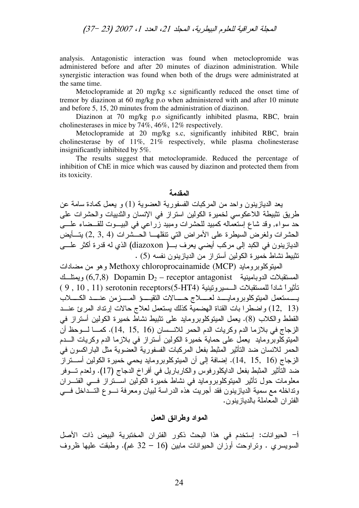analysis. Antagonistic interaction was found when metoclopromide was administered before and after 20 minutes of diazinon administration. While synergistic interaction was found when both of the drugs were administrated at the same time.

Metoclopramide at 20 mg/kg s.c significantly reduced the onset time of tremor by diazinon at 60 mg/kg p.o when administered with and after 10 minute and before 5, 15, 20 minutes from the administration of diazinon.

Diazinon at 70 mg/kg p.o significantly inhibited plasma, RBC, brain cholinesterases in mice by 74%, 46%, 12% respectively.

Metoclopramide at 20 mg/kg s.c, significantly inhibited RBC, brain cholinesterase by of 11%, 21% respectively, while plasma cholinesterase insignificantly inhibited by 5%.

The results suggest that metoclopramide. Reduced the percentage of inhibition of ChE in mice which was caused by diazinon and protected them from its toxicity.

# المقدمة

يعد الديازينون واحد من المركبات الفسفورية العضوية (1) و يعمل كمادة سامة عن طريق نتبيطة اللاعكوسي لخميرة الكولين استراز في الإنسان والندييات والحشرات على حد سواء, وقد شاع إستعماله كمبيد للحشرات ومبيد زراعي في البيـــوت للقـــضاء علــــي الحشرات ولغرض السيطرة على الأمراض التي نتقلهـــا الحـــشرات (4 ,2 ,3) بتــــأيض الديازينون في الكبد إلى مركب أيضي يعرف بـــ( diazoxon) الذي له قدرة أكثر علـــى نثبيط نشاط خميرة الكولين أستراز من الديازينون نفسه (5) .

الممينوكلوبرومايد Methoxy chloroprocainamide (MCP) وهو من مضادات المستقبلات الدوبامينية 6,7,8) Dopamin D $_2$  – receptor antagonist ويمتلـــك تَأثيراً شاداً للمستقبلات الـــسيرونينية serotonin receptors(5-HT4) ( 9 , 10 , 11 ) ser يــــستعمل المبتوكلوبرومايـــــد لعـــــلاج حــــــالات النقيـــــو المـــــزمن عنـــــد الكــــــلاب (12, 13) واضطرا بات القناة الهضمية كذلك يستعمل لعلاج حالات إرنداد المرئ عنــد القطط والكلاب (8). يعمل المبتوكلوبرومايد على نثبيط نشاط خميرة الكولين أستراز في الزجاج في بلازما الدم وكريات الدم الحمر للانـــسان (16 ,15, 16). كمـــا لـــوحظ أن المُبْنُوكِلُوبِرومايد ۖ يَعْمَلُ عَلَى حَمَايَةٌ خَمَيْرَةُ الكولينِ أَسْتَرَازَ فِي بِلازِما الدم وكريات الــــدم الحمر للانسان ضد النَّاثير المثبط بفعل المركبات الفسفورية العضوية مثل الباراكسون في الزجاج (16 , 15, 16). إضافة إلى أن الميتوكلوبرومايد يحمي خميرة الكولين أســــتراز ضد النَأْثير المُثبط بفعل الدايكلورفوس والكارباريل في أفراخ الدجاج (17). ولعدم تـــوفر معلومات حول نَأْتُير المُبَتَوكلوبرومايد في نشاط خميرة الكولين اســـنراز فـــي الفئـــران ونداخله مع سمية الديازينون فقد أجريت هذه الدراسة لبيان ومعرفة نسوع التسداخل فسي الفئر ان المعاملة بالديازينون.

### المواد وطرائق الع*مل*

أ– الحيوانات: إستخدم في هذا البحث ذكور الفئران المختبرية البيض ذات الأصل السويسري . ونراوحت أوزان الحيوانات مابين (16 – 32 غم). وطبقت عليها ظروف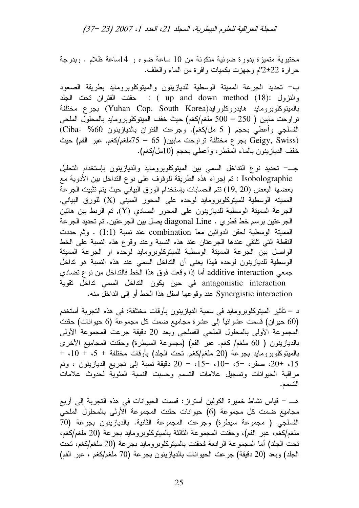مختبرية متميزة بدورة ضوئية متكونة من 10 ساعة ضوء و 14ساعة ظلام . وبدرجة حرارة 22±2°م وجهزت بكميات وافرة من الماء والعلف.

ب– تحديد الجرعة الممينة الوسطية للديازينون والمينوكلوبرومايد بطريقة الصعود والنزول :(ap and down method (18) : حقنت الفئران تحت الجلد بالميتوكلوبرومايد هايدروكلورايد(Yuhan Cop. South Korea) بجرع مختلفة نراوحت مابين ( 250 – 500 ملغم/كغم) حيث خفف الميتوكلوبرومايد بالمحلول الملحي الفسلجي وأعطي بحجم ( 5 مل/كغم). وجرعت الفئران بالديازينون 60% -Ciba) (Geigy, Swiss بجرع مختلفة نراوحت مابين( 65 – 75ملغم/كغم, عبر الفم) حيث خفف الديازينون بالماء المقطر ، وأعطي بحجم (10مل/كغم).

جــــ تحديد نوع النداخل السمي بين الميتوكلوبرومايد والديازينون بإستخدام التحليل Isobolographic : تم إجراء هذه الطريقة للوقوف على نوع التداخل بين الأدوية مع بعضها البعض (20 ,19) نتم الحسابات بإستخدام الورق البياني حيث يتم نتثبيت الجرعة المميته الوسطية للميتوكلوبرومايد لوحده على المحور السيني (X) للورق البياني, الجرعة المميتة الوسطية للديازينون على المحور الصـادي (Y), تم الربط بين هاتين الجر عتين برسم خط قطري . diagonal Line يصل بين الجر عتين. تم تحديد الجرعة الممينة الوسطية لحقن الدوائين معا combination عند نسبة (1:1) . وثم حددت النقطة التي تلتقي عندها الجرعتان عند هذه النسبة وعند وقوع هذه النسبة على الخط الواصل بين الجرعة الممينة الوسطية للمينوكلوبرومايد لوحده او الجرعة الممينة الوسطية للديازينون لوحده فهذا يعني أن النداخل السمي عند هذه النسبة هو نداخل جمعي additive interaction أما إذا وقعت فوق هذا الخط فالنداخل من نوع تضادي antagonistic interaction في حين يكون النداخل السمي نداخل نقوية Synergistic interaction عند وقوعها اسفل هذا الخط أو إلىي الداخل منه.

د – تأثير الميتوكلوبرومايد في سمية الديازينون بأوقات مختلفة: في هذه التجربة أستخدم (60 حيوان) قسمت عشوائياً إلى عشرة مجاميع ضمت كل مجموعة (6 حيوانات) حقنت المحموعة الأولى بالمحلول الملحي الفسلجي وبعد 20 دقيقة جرعت المجموعة الأولى بالديازينون ( 60 ملغم/ كغم. عبر الفم) (مجموعة السيطرة) وحقنت المجاميع الأخرى بالميتوكلوبرومايد بجرعة (20 ملغم/كغم, تحت الجلد) بأوقات مختلفة + 5، + 10، + 15، +20، صفر، −5، −10، −15، − 20 دقيقة نسبة إلى تجريع الديازينون ، وتم مراقبة الحيوانات وتسجيل علامات التسمم وحسبت النسبة المئوية لحدوث علامات التسمم.

هـــ – قياس نشاط خميرة الكولين أستراز : قسمت الحيوانات في هذه التجربة إلى أربع مجاميع ضمت كل مجموعة (6) حيوانات حقنت المجموعة الأولى بالمحلول الملحي الفسلجي ( مجموعة سيطرة) وجرعت المجموعة الثانية. بالديازينون بجرعة (70 ملغم/كغم، عبر الفم)، وحقنت المجموعة الثالثة بالمبتوكلوبرومايد بجرعة (20 ملغم/كغم، نحت الجلد) أما المجموعة الرابعة فحقنت بالميتوكلوبرومايد بجرعة (20 ملغم/كغم، نحت الجلد) وبعد (20 دقيقة) جرعت الحيوانات بالديازينون بجرعة (70 ملغم/كغم ، عبر الفم)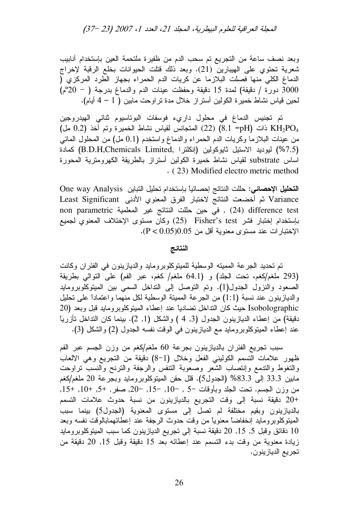وبعد نصف ساعة من التجريع تم سحب الدم من ظفيرة ملتحمة العين بإستخدام أنابيب شعرية تحتوي على الهيبارين (21). وبعد ذلك قتلت الحيوانات بخلع الرقبة لإخراج الدماغ الكلي منها فصلت البلازما عن كريات الدم الحمراء بجهاز الطرد المركزي ( 3000 دورة / دقيقة) لمدة 15 دقيقة وحفظت عينات الدم والدماغ بدرجة ( - 20°م) لحين قياس نشاط خميرة الكولين أستراز خلال مدة تراوحت مابين ( 1 – 4 أيام).

تم تجنيس الدماغ في محلول داريء فوسفات البوتاسيوم ثنائي الهيدروجين ( 8.1 =pH) ذات (8.1 =pH) لمتجانس لقياس نشاط الخميرة وتم أخذ  $\rm KH_{2}PO_{4}$  مل من عينات البلازما وكريات الدم الحمراء والدماغ واستخدم (0.1 مل) من المحلول المائي (7.5%) ليوديد الاستيل ثايوكولين (إنكلترا ,B.D.H,Chemicals Limited) كمادة اساس substrate لقياس نشاط خميرة الكولين أستراز بالطريقة الكهرومترية المحورة . ( 23) Modified electro metric method

ا**لتحليل الإحصائي:** حللت النتائج إحصـائياً بـإستخدام تحليل النباين One way Analysis Variance ثم أخضعت النتائج لاختبار الفرق المعنوي الأدنى Least Significant non parametric في حين حللت النتائج غير المعلمية , (24) difference test بإستخدام إختبار فشر Fisher's test (25) وكان مستوى الإختلاف المعنوي لجميع الإختبارات عند مستوى معنوية أقل من 0.05(0.05). [

## النتائج

تم تحديد الجرعة المميته الوسطية للميتوكلوبرومايد والديازينون في الفئران وكانت (293 ملغم/كغم، تحت الجلد) و (64.1 ملغم/ كغم، عبر الفم) على النوالي بطريقة الصعود والنزول الجدول(1). ونم النوصل إلى النداخل السمي بين المبنوكلوبرومايد والديازينون عند نسبة (1:1) من الجرعة المميتة الوسطية لكل منهما واعتماداً على تحليل Isobolographic حيث كان النداخل نضادياً عند إعطاء الميتوكلوبرومايد قبل وبعد (20 دقيقة) من إعطاء الديازينون الجدول (3, 4 ) والشكل (1, 2). بينما كان النداخل تأزرياً عند إعطاء المينوكلوبرومايد مع الديازينون في الوقت نفسه الجدول (2) والشكل (3).

سبب نجريع الفئران بالديازينون بجرعة 60 ملغم/كغم من وزن الجسم عبر الفم ظهور علامات التسمم الكوليني الفعل وخلال (1−8) دقيقة من التجريع وهي الالعاب والنغوط والندمع وإنتصاب الشعر وصعوبة النتفس والرجفة والنترنح والنسب نراوحت مابين 33.3 إلى 83.3% (الجدول5). قال حقن الميتوكلوبرومايد وبجرعة 20 ملغم/كغم من وزن الجسم. نحت الجلد وبأوقات ¬5 , ¬10, ¬15, ¬20, صفر , +5, +10, +15, . +20 دقيقة نسبة إلى وقت التجريع بالديازينون من نسبة حدوث علامات التسمم بالديازينون وبقيم مختلفة لم تصل إلى مستوى المعنوية (الجدول5) بينما سبب المبتوكلوبرومايد إنخفاضاً معنوياً من وقت حدوث الرجفة عند إعطائهمابالوقت نفسه وبعد 10 دقائق وقبل 5, 15, 20 دقيقة نسبة إلى تجريع الديازينون كما سبب الميتوكلوبرومايد زيادة معنوية من وقت بدء النسمم عند إعطائه بعد 15 دقيقة وقبل 15, 20 دقيقة من تجريع الديازينون.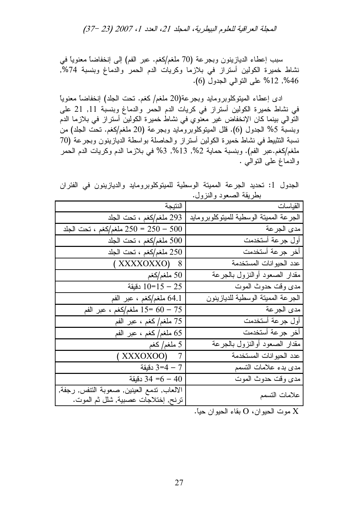سبب إعطاء الديازينون وبجرعة (70 ملغم/كغم. عبر الفم) إلى إنخفاضاً معنوياً في نشاط خميرة الكولين أستراز في بلازما وكريات الدم الحمر والدماغ وبنسبة 74%, 46%, 12% على النوالي الجدول (6).

ادى إعطاء الميتوكلوبرومايد وبجرعة(20 ملغم/كغم. نحت الجلد) إنخفاضاً معنوياً في نشاط خميرة الكولين أستراز في كريات الدم الحمر والدماغ وبنسبة 11, 21 على النّوالي بينما كان الإنخفاض غير معنوي في نشاط خميرة الكولين أستراز في بلازما الدم وبنسبة 5% الجدول (6). قلل الميتوكلوبرومايد وبجرعة (20 ملغم/كغم. تحت الجلد) من نسبة التثبيط في نشاط خميرة الكولين أستراز والحاصلة بواسطة الديازينون وبجرعة (70 ملغم/كغم.عبر الفم). وبنسبة حماية 2%, 13%, 3% في بلازما الدم وكريات الدم الحمر والدماغ علىي النوالـي .

الجدول 1: تحديد الجرعة المميتة الوسطية للميتوكلوبرومايد والديازينون في الفئران بطريقة الصعود والنزول.

|                                                                                   | $\overline{C}$                          |
|-----------------------------------------------------------------------------------|-----------------------------------------|
| النتيجة                                                                           | القياسات                                |
| 293 ملغم/كغم ، تحت الجلد                                                          | الجرعة الممينة الوسطية للمينوكلوبرومايد |
| ملغم/كغم ، نحت الجلد $250 = 250 - 500$                                            | مدى الجرعة                              |
| 500 ملغم/كغم ، تحت الجلد                                                          | أول جرعة أستخدمت                        |
| 250 ملغم/كغم ، تحت الجلد                                                          | أخر جرعة أستخدمت                        |
| (XXXXOXXO) 8                                                                      | عدد الحيوانات المستخدمة                 |
| 50 ملغم/كغم $50\,$                                                                | مقدار الصعود أوالنزول بالجرعة           |
| دقيقة $10=15-25$                                                                  | مدى وقت حدوث الموت                      |
| 64.1 ملغم/كغم ، عبر الفم                                                          | الجرعة المميتة الوسطية للديازينون       |
| ملغم/كغم ، عبر الفم $15 = 60 - 75$                                                | مدى الجر عة                             |
| 75 ملغم/كغم ، عبر الفم                                                            | أول جرعة أستخدمت                        |
| 65 ملغم/كغم ، عبر الفم                                                            | أخر جرعة أستخدمت                        |
| 5 ملغم/ كغم                                                                       | مقدار الصعود أوالنزول بالجرعة           |
| $(XXXXOXOO)$ 7                                                                    | عدد الحيوانات المستخدمة                 |
| 7 – 4=3 دقيقة                                                                     | مدى بدء علامات التسمم                   |
| دقيقة $34 = 6 - 40$                                                               | مدى وقت حدوث الموت                      |
| الالعاب, تدمع العينين, صعوبة النتفس, رجفة,<br>ترنح, إختلاجات عصبية, شلل ثم الموت. | علامات التسمم                           |

موت الحيوان، O بقاء الحيوان حياً.  $\rm X$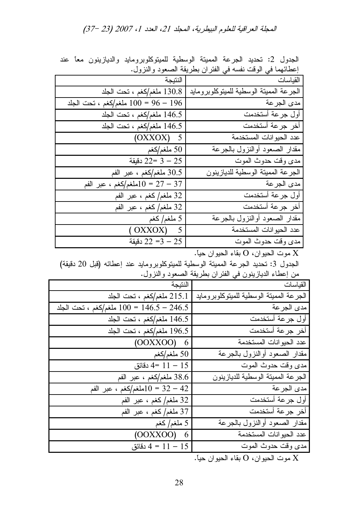| إعطائهما في الوقت نفسه في الفئران بطريقة الصعود والنزول. |                                         |  |  |  |  |  |
|----------------------------------------------------------|-----------------------------------------|--|--|--|--|--|
|                                                          | القياسات النتيجة                        |  |  |  |  |  |
| 130.8 ملغم/كغم ، تحت الجلد                               | الجرعة المميتة الوسطية للميتوكلوبرومايد |  |  |  |  |  |
| ملغم/كغم ، تحت الجلد $100 = 96 - 196$                    | مدى الجرعة                              |  |  |  |  |  |
| 146.5 ملغم/كغم ، تحت الجلد                               | أول جرعة أستخدمت                        |  |  |  |  |  |
| 146.5 ملغم/كغم ، تحت الجلد                               | أخر جرعة أستخدمت                        |  |  |  |  |  |
| $(OXXOX)$ 5                                              | عدد الحيوانات المستخدمة                 |  |  |  |  |  |
| 50 ملغم/كغم $50\,$                                       | مقدار الصعود أوالنزول بالجرعة           |  |  |  |  |  |
| دقيقة $22 = 3 - 25$                                      | مدى وقت حدوث الموت                      |  |  |  |  |  |
| 30.5 ملغم/كغم ، عبر الفم                                 | الجرعة المميتة الوسطية للديازينون       |  |  |  |  |  |
| ملغم/كغم ، عبر الفم $10 = 27 - 37$                       | مدى الجرعة                              |  |  |  |  |  |
| 32 ملغم/كغم ، عبر الفم                                   | أول جرعة أستخدمت                        |  |  |  |  |  |
| 32 ملغم/كغم ، عبر الفم                                   | أخر جرعة أستخدمت                        |  |  |  |  |  |
| 5 ملغم/ كغم                                              | مقدار الصعود أوالنزول بالجرعة           |  |  |  |  |  |
| (OXXOX) 5                                                | عدد الحيوانات المستخدمة                 |  |  |  |  |  |
| دقيقة $22 = 3 - 25$                                      | مدى وقت حدوث الموت                      |  |  |  |  |  |
|                                                          |                                         |  |  |  |  |  |

الجدول 2: تحديد الجرعة المميتة الوسطية للميتوكلوبرومايد والديازينون معاً عند

موت الحيوان، O بقاء الحيوان حياً.  $\rm X$ 

الجدول 3: تحديد الـجرعة المميتة الوسطية للميتوكلوبرومايد عند إعطائه (قبل 20 دقيقة) من إعطاء الديازينون في الفئر ان بطريقة الصعود والنزول.

| النتيجة                                    | القياسات –                                                      |
|--------------------------------------------|-----------------------------------------------------------------|
|                                            |                                                                 |
| 215.1 ملغم/كغم ، تحت الجلد                 | الجرعة المميتة الوسطية للميتوكلوبرومايد                         |
| ملغم/كغم ، تحت الجلد $100 = 146.5 - 246.5$ | مدى الجرعة                                                      |
| 146.5 ملغم/كغم ، تحت الجلد                 | أول جرعة أستخدمت                                                |
| 196.5 ملغم/كغم ، تحت الجلد                 | أخر جرعة أستخدمت                                                |
| $(OOXXOO)$ 6                               | عدد الحيوانات المستخدمة                                         |
| 50 ملغم/كغم $50\,$                         | مقدار الصعود أوالنزول بالجرعة                                   |
| دقائق $4 = 11 - 15$                        | مدى وقت حدوث الموت                                              |
| 38.6 ملغم/كغم ، عبر الفم                   | الجرعة المميتة الوسطية للديازينون                               |
| ملغم/كغم ، عبر الفم $10 = 32 - 42$         | مدى الجرعة                                                      |
| 32 ملغم/كغم ، عبر الفم                     | أول جرعة أستخدمت                                                |
| 37 ملغم/كغم ، عبر الفم                     | أخر جرعة أستخدمت                                                |
| 5 ملغم/ كغم                                | مقدار الصعود أوالنزول بالجرعة                                   |
| $(OOXXOO)$ 6                               | عدد الحيوانات المستخدمة                                         |
| $4 = 11 - 15$ دقائق                        | مدى وقت حدوث الموت                                              |
|                                            | $\mathbf{u}$ and $\mathbf{v}$ and $\mathbf{v}$ and $\mathbf{v}$ |

موت الحيوان، O بقاء الحيوان حياً.  $\rm X$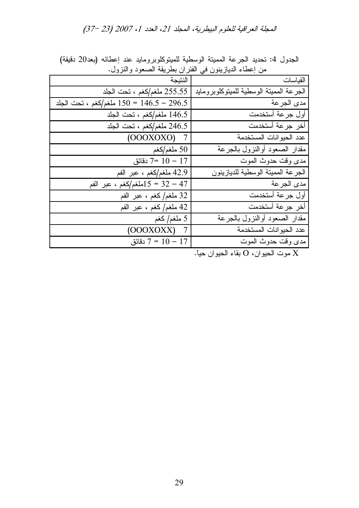| من إعطاء الدياريون في الفر ان بطريقه الصعود والنرول. |                                            |  |  |  |  |  |  |  |
|------------------------------------------------------|--------------------------------------------|--|--|--|--|--|--|--|
| القياسات                                             | النتيجة                                    |  |  |  |  |  |  |  |
| الجرعة المميتة الوسطية للميتوكلوبرومايد              | 255.55 ملغم/كغم ، تحت الجلد                |  |  |  |  |  |  |  |
| مدى الجرعة                                           | ملغم/كغم ، تحت الجلد $150 = 146.5 - 296.5$ |  |  |  |  |  |  |  |
| أول جرعة أستخدمت                                     | 146.5 ملغم/كغم ، تحت الجلد                 |  |  |  |  |  |  |  |
| أخر جرعة أستخدمت                                     | 246.5 ملغم/كغم ، تحت الجلد                 |  |  |  |  |  |  |  |
| عدد الحيوانات المستخدمة                              | $(OOOXOXO)$ 7                              |  |  |  |  |  |  |  |
| مقدار الصعود أوالنزول بالجرعة                        | 50 ملغم/کغم $50\,$                         |  |  |  |  |  |  |  |
| مدى وقت حدوث الموت                                   | دقائق $7 = 10 - 17$                        |  |  |  |  |  |  |  |
| الجرعة المميتة الوسطية للديازينون                    | 42.9 ملغم/كغم ، عبر الفم                   |  |  |  |  |  |  |  |
| مدى الجر عة                                          | 47 – 32 = 15ملغم/كغم ، عبر الفم            |  |  |  |  |  |  |  |
| أول جرعة أستخدمت                                     | 32 ملغم/كغم ، عبر الفم                     |  |  |  |  |  |  |  |
| أخر جرعة أستخدمت                                     | 42 ملغم/كغم ، عبر الفم                     |  |  |  |  |  |  |  |
| مقدار الصعود أوالنزول بالجرعة                        | 5 ملغم/ كغم                                |  |  |  |  |  |  |  |
| عدد الحيوانات المستخدمة                              | $(OOOXOXX)$ 7                              |  |  |  |  |  |  |  |
| مدى وقت حدوث الموت                                   | دقائق $7 = 10 - 17$                        |  |  |  |  |  |  |  |
|                                                      |                                            |  |  |  |  |  |  |  |

الجدول 4: تحديد الجرعة المميتة الوسطية للميتوكلوبرومايد عند إعطائه (بعد20 دقيقة) من إعطاء الديازينون في الفئر ان بطريقة الصعود والنزول.

موت الحيوان، O بقاء الحيوان حياً.  $\rm X$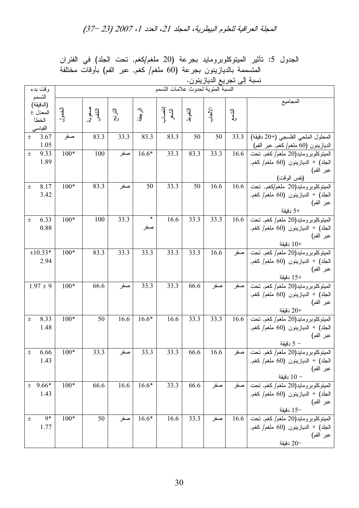|                       | ىسبە <sub>ل</sub> ىي ىجريى الديارينون. |                  |      |               |                 |                   |               |                                                                       |                                                                                                        |
|-----------------------|----------------------------------------|------------------|------|---------------|-----------------|-------------------|---------------|-----------------------------------------------------------------------|--------------------------------------------------------------------------------------------------------|
| وقت بدء               | النسبة المئوية لحدوث علامات التسمم     |                  |      |               |                 |                   |               |                                                                       |                                                                                                        |
| التسمم<br>(الدقيقة)   |                                        |                  |      |               |                 |                   |               |                                                                       | المجاميع                                                                                               |
| المعدل ±              | الخصول                                 | مسعوبة<br>التنفس | ョー   | ر<br>-او<br>پ | إنتصاب<br>الشعر | التغوط            | الإكمار<br>-أ | $\begin{matrix} \overline{\mathbb{F}}_p \\ \mathbb{F}_p \end{matrix}$ |                                                                                                        |
| الخطأ                 |                                        |                  |      |               |                 |                   |               |                                                                       |                                                                                                        |
| القياسي               |                                        |                  |      |               |                 |                   |               |                                                                       |                                                                                                        |
| 3.67<br>$\pm$<br>1.05 | صفر                                    | 83.3             | 33.3 | 83.3          | 83.3            | 50                | 50            | 33.3                                                                  | المحلول الملحى الفلسجى (+20 دقيقة)<br>الديازينون (60 ملغم/كغم, عبر الفم)                               |
| 9.33<br>$\pm$         | $100*$                                 | 100              | صفر  | $16.6*$       | 33.3            | $83.\overline{3}$ | 33.3          |                                                                       | $\overline{16.6}$ الميتوكلوبرومايد $\left(20\right)$ ملغم/ كغم, تحت                                    |
| 1.89                  |                                        |                  |      |               |                 |                   |               |                                                                       | الْجَلْد) + الديازينون (60 ملغم/ كغم,                                                                  |
|                       |                                        |                  |      |               |                 |                   |               |                                                                       | عبر الفم)                                                                                              |
| 8.17<br>土             | $100*$                                 | 83.3             | صفر  | 50            | 33.3            | 50                | 16.6          |                                                                       | (نفس الوقت)<br>المبتوكلوبرومايد(20 ملغم/كغم, تحت   16.6                                                |
| 3.42                  |                                        |                  |      |               |                 |                   |               |                                                                       | الجلد) + الديازينون (60 ملغم/ كغم,                                                                     |
|                       |                                        |                  |      |               |                 |                   |               |                                                                       | عبر الفم)                                                                                              |
|                       |                                        |                  |      |               |                 |                   |               |                                                                       | +5 دقيقة                                                                                               |
| 6.33<br>$\pm$         | $100*$                                 | 100              | 33.3 | $\ast$        | 16.6            | 33.3              | 33.3          |                                                                       | $16.6$ الميتوكلوبرومايد $(20)$ ملغم/ كغم, تحت                                                          |
| 0.88                  |                                        |                  |      | صفر           |                 |                   |               |                                                                       | الْجَلْدْ) + الْدْيَازْيْنُونْ (60 مَلْغُمْ/كَغْمْ,                                                    |
|                       |                                        |                  |      |               |                 |                   |               |                                                                       | عبر الفم)                                                                                              |
| $±10.33*$             | $100*$                                 | 83.3             | 33.3 | 33.3          | 33.3            | $33.\overline{3}$ | 16.6          |                                                                       | دقيقة $10+$<br>المبتوكلوبرومايد(20 ملغم/ كغم, تحت   صفر                                                |
| 2.94                  |                                        |                  |      |               |                 |                   |               |                                                                       | الجلد) + الديازينون (60 ملغم/ كغم,                                                                     |
|                       |                                        |                  |      |               |                 |                   |               |                                                                       | عبر الفم)                                                                                              |
|                       |                                        |                  |      |               |                 |                   |               |                                                                       | +15 دقيقة                                                                                              |
| $1.97 \pm 9$          | $100*$                                 | 66.6             | صفر  | 33.3          | 33.3            | 66.6              | صفر           |                                                                       | المبتوكلوبرومايد(20 ملغم/ كغم, تحت  صفر                                                                |
|                       |                                        |                  |      |               |                 |                   |               |                                                                       | الجلد) + الديازينون (60 ملغم/كغم,                                                                      |
|                       |                                        |                  |      |               |                 |                   |               |                                                                       | عبر الفم)<br>دقيقة                                                                                     |
| 8.33<br>土             | $100*$                                 | 50               | 16.6 | $16.6*$       | 16.6            | 33.3              | 33.3          | 16.6                                                                  | المبينوكلوبرومايد(20 ملغم/ كغم, نحت                                                                    |
| 1.48                  |                                        |                  |      |               |                 |                   |               |                                                                       | الجلد) + الديازينون (60 ملغم/ كغم,                                                                     |
|                       |                                        |                  |      |               |                 |                   |               |                                                                       | عبر الفم)                                                                                              |
|                       |                                        |                  |      |               |                 |                   |               |                                                                       | – 5 دقيقة                                                                                              |
| Ŧ<br>6.66             | $100*$                                 | 33.3             | صفر  | 33.3          | 33.3            | 66.6              | 16.6          |                                                                       | المبيتوكلوبرومايد(20 ملغم/ كغم, تحت   صفر                                                              |
| 1.43                  |                                        |                  |      |               |                 |                   |               |                                                                       |                                                                                                        |
|                       |                                        |                  |      |               |                 |                   |               |                                                                       | الجلد) + الديازينون (60 ملغم/ كغم,<br>عبر الفم)<br>− 10 دقيقة                                          |
| $± 9.66*$             | $100*$                                 | 66.6             | 16.6 | $16.6*$       | 33.3            | 66.6              |               |                                                                       | المبينوكلوبرومايد(20 ملغم/كغم, تحت  صفر  صفر                                                           |
| 1.43                  |                                        |                  |      |               |                 |                   |               |                                                                       |                                                                                                        |
|                       |                                        |                  |      |               |                 |                   |               |                                                                       |                                                                                                        |
|                       |                                        |                  |      |               |                 |                   |               |                                                                       | الجلد) + الديازينون (60 ملغم/كغم,<br>عبر الفم)<br>—15 دقيقة<br>المبيتوكلوبرومايد(20 ملغم/كغم, تحت 16.6 |
| 9*<br>土               | $100*$                                 | 50               | صفر  | $16.6*$       | 16.6            | 33.3              | صفر           |                                                                       |                                                                                                        |
| 1.77                  |                                        |                  |      |               |                 |                   |               |                                                                       | الجلد) + الديازينون (60 ملغم/ كغم,<br>عبر الفم)                                                        |
|                       |                                        |                  |      |               |                 |                   |               |                                                                       | دقيقة                                                                                                  |

الجدول 5: تأثير الميتوكلوبرومايد بجرعة (20 ملغم/كغم, تحت الجلد) في الفئران المتسممة بالديازينون بجرعة (60 ملغم/ كغم, عبر الفم) بأوقات مختلفة<br>نسبة المستحديد الديانيينيين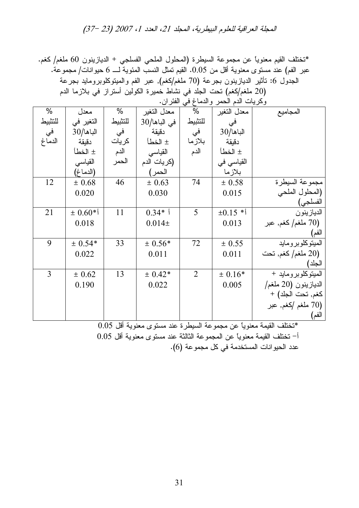\*نختلف القيم معنوياً عن مجموعة السيطرة (المحلول الملحي الفسلجي + الديازينون 60 ملغم/ كغم. عبر الفم) عند مستوى معنوية أقل من 0.05. القيم تمثل النسب المئوية لــــ 6 حيوانات/ مجموعة. الجدول 6: تأثير الديازينون بجرعة (70 ملغم/كغم), عبر الفم والميتوكلوبرومايد بجرعة (20 ملغم/كغم) تحت الجلد في نشاط خميرة الكولين أستراز في بلازما الدم

|         | وكريات الدم الحمر والدماغ في الفئران. |         |                 |                |              |                       |  |  |  |
|---------|---------------------------------------|---------|-----------------|----------------|--------------|-----------------------|--|--|--|
| %       | معدل                                  | %       | معدل التغير     | %              | معدل التغير  | المجاميع              |  |  |  |
| للتثبيط | التغير في                             | للتثبيط | $30/$ في الباها | للتثبيط        | في           |                       |  |  |  |
| في      | $30/$ الباها                          | في      | دقيقة           | في             | $30/$ الباها |                       |  |  |  |
| الدماغ  | دقيقة                                 | كريات   | ± الخطأ         | بلازما         | دقيقة        |                       |  |  |  |
|         | ± الخطأ                               | الدم    | القياسي         | الدم           | ± الخطأ      |                       |  |  |  |
|         | القياسى                               | الحمر   | (كريات الدم     |                | القياسي في   |                       |  |  |  |
|         | (الدماغ)                              |         | الحمر)          |                | بلازما       |                       |  |  |  |
| 12      | ± 0.68                                | 46      | ± 0.63          | 74             | ± 0.58       | مجموعة السيطرة        |  |  |  |
|         | 0.020                                 |         | 0.030           |                | 0.015        | (المحلول الملحى       |  |  |  |
|         |                                       |         |                 |                |              | الفسلجي)              |  |  |  |
| 21      | $\pm 0.60$ *)                         | 11      | $0.34*$         | 5              | $\pm 0.15$ * | الديازينون            |  |  |  |
|         | 0.018                                 |         | $0.014\pm$      |                | 0.013        | ملغم/ كغم, عبر $(70)$ |  |  |  |
|         |                                       |         |                 |                |              | الفم)                 |  |  |  |
| 9       | $± 0.54*$                             | 33      | $± 0.56*$       | 72             | ± 0.55       | المبتوكلوبرومايد      |  |  |  |
|         | 0.022                                 |         | 0.011           |                | 0.011        | ملغم/ كغم, تحت $(20)$ |  |  |  |
|         |                                       |         |                 |                |              | الجلد)                |  |  |  |
| 3       | ± 0.62                                | 13      | $± 0.42*$       | $\overline{2}$ | $± 0.16*$    | الميتوكلوبرومايد +    |  |  |  |
|         | 0.190                                 |         | 0.022           |                | 0.005        | الديازينون (20 ملغم/  |  |  |  |
|         |                                       |         |                 |                |              | كغم, تحت الجلد) +     |  |  |  |
|         |                                       |         |                 |                |              | (70 ملغم /كغم, عبر    |  |  |  |
|         |                                       |         |                 |                |              | الفم)                 |  |  |  |

 $0.05$  "تختلف القيمة معنوياً عن مجموعة السيطرة عند مستوى معنوية أقل $\,$ أ– تختلف القيمة معنوياً عن المجموعة الثالثة عند مستوى معنوية أقل 0.05 عدد الحيوانات المستخدمة في كل مجموعة (6).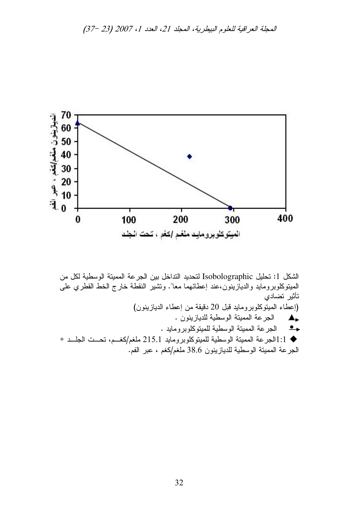

الشكل 1: تحليل Isobolographic لتحديد التداخل بين الجرعة المميتة الوسطية لكل من المبتوكلوبرومايد والديازينون،عند إعطائهما معاً. ونتثبير النقطة خارج الخط القطرى على تأثير تضادى (إعطاء المبنوكلوبر ومابد قبل 20 دقيقة من إعطاء الدباز بنون) حط الجرعة المميتة الوسطية للديازينون . · الجرعة المميتة الوسطية للميتوكلوبرومايد . ♦ 1:1الجرعة المميتة الوسطية للميتوكلوبرومايد 215.1 ملغم/كغـم، تحــت الجلــد + الجرعة المميتة الوسطية للديازينون 38.6 ملغم/كغم ، عبر الفم.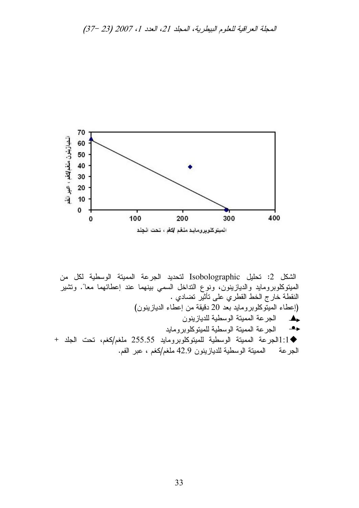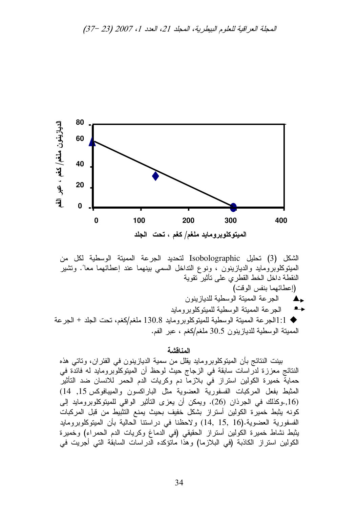

الشكل (3) تحليل Isobolographic لتحديد الجرعة المميتة الوسطية لكل من المُبِنَّوكِلوبرومايد والديازينون ، ونوع النَّداخل السمي ببنِهما عند إعطائهما معاً. ونَشْير النقطة داخل الخط القطرى على تأثير نقوية (إعطائهما بنفس الوقت) الجرعة المميتة الوسطية للدياز ينون  $\blacktriangle_{\bullet}$ الجرعة المميتة الوسطية للميتوكلوبرومايد  $\bullet \rightarrow$ ا: [الجرعة الممينة الوسطية للمينوكلوبر ومايد 130.8 ملغم/كغم، نحت الجلد + الجرعة ) [1] الجرعة المميتة الوسطية للديازينون 30.5 ملغم/كغم ، عبر الفم.

#### المناقشة

بينت النتائج بأن الميتوكلوبرومايد يقلل من سمية الديازينون في الفئران، وتاتي هذه النتائج معززة لدراسات سابقة في الزجاج حيث لوحظ أن الميتوكلوبرومايد له فائدة في حماية خميرة الكولين استراز في بلازما دم وكريات الدم الحمر للانسان ضد التأثير المثبط بفعل المركبات الفسفورية العضوية مثل الباراكسون والميبافوكس 15, 14) (16, وكذلك في الجرذان (26). ويمكن أن يعزى التأثير الواقي للميتوكلوبرومايد إلى كونه يثبط خميرة الكولين أستراز بشكل خفيف بحيث يمنع التثبيط من قبل المركبات الفسفورية العضوية.(16 ,15 ,14) ولاحظنا في دراستنا الحالية بأن الميتوكلوبرومايد يثبط نشاط خميرة الكولين أستراز الحقيقى (في الدماغ وكريات الدم الحمراء) وخميرة الكولين استراز الكاذبة (في البلازما) وهذا ماتؤكده الدراسات السابقة التي أجريت في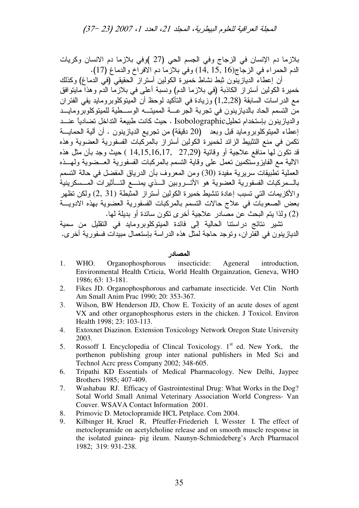بلازما دم الإنسان في الزجاج وفي الجسم الحي (27 )وفي بلازما دم الانسان وكريات الدم الحمراء في الزجاج(15, 15, 16) وفي بلازما دم الافراخ والدماغ (17).

أن إعطاء الديازينون ثبط نشاط خميرة الكولين أستراز الحقيقي (في الدماغ) وكذلك خميرة الكولين أستراز الكاذبة (في بلازما الدم) ونسبة أعلى في بلازما الدم وهذا مايتوافق مع الدر اسات السابقة (1,2,28) وزيادة في التأكيد لوحظ أن الميتوكلوبرومايد يقي الفئر ان من التسمم الحاد بالديازينون في تجربة الجرعــــة المميتــــه الوســــطية للميتوكلوبرومايـــد والديازينون بإستخدام تحليلIsobolographic . حيث كانت طبيعة التداخل تضادياً عنـــد إعطاء المبنوكلوبرومايد قبل وبعد (20 دقيقة) من نجريع الديازينون . أن ألية الحمايـــة نكمن في منع النثبيط الزائد لخميرة الكولين أستراز بالمركبات الفسفورية العضوية وهذه قد نكون لـها منـافـع علاجية أو وقائية (27,29 , 14,15,16,17 ) حيث وجد بأن مثل هذه الالية مع الفايزوستكمين تعمل على وقاية التسمم بالمركبات الفسفورية العــضوية ولمهــذه العملية تطبيقات سريرية مفيدة (30) ومن المعروف بأن الدرياق المفضل في حالة التسمم بالــمركبات الفسفورية العضوية هو الأتـــروبين الـــذي يمنــــع التـــأثيرات المـــسكرينية والأكزيمات التي تسبب إعادة تتشيط خميرة الكولين أستراز المثبطة (2, 31) ولكن تظهر بعض الصعوبات في علاج حالات التسمم بالمركبات الفسفورية العضوية بهذه الادويــــة (2) ولذا يتم البحث عن مصـادر علاجية أخر ى نكون سائدة أو بديلة لمها.

تشير نتائج دراستنا الحالية إلى فائدة المينوكلوبرومايد في النقليل من سمية الديازينون في الفئر ان، وتوجد حاجة لمثل هذه الدراسة بإستعمال مبيدات فسفورية أخرى.

### المصادر

- 1. WHO. Organophosphorous insecticide: Ageneral introduction, Environmental Health Crticia, World Health Orgainzation, Geneva, WHO 1986; 63: 13-181.
- 2. Fikes JD. Organophosphorous and carbamate insecticide. Vet Clin North Am Small Anim Prac 1990; 20: 353-367.
- 3. Wilson, BW Henderson JD, Chow E. Toxicity of an acute doses of agent VX and other organophosphorus esters in the chicken. J Toxicol. Environ Health 1998; 23: 103-113.
- 4. Extoxnet Diazinon. Extension Toxicology Network Oregon State University 2003.
- 5. Rossoff I. Encyclopedia of Clincal Toxicology.  $1<sup>st</sup>$  ed. New York, the porthenon publishing group inter national publishers in Med Sci and Technol Acrc press Company 2002; 348-605.
- 6. Tripathi KD Essentials of Medical Pharmacology. New Delhi, Jaypee Brothers 1985; 407-409.
- 7. Washabau RJ. Efficacy of Gastrointestinal Drug: What Works in the Dog? Sotal World Small Animal Veterinary Association World Congress- Van Couver. WSAVA Contact Information 2001.
- 8. Primovic D. Metoclopramide HCL Petplace. Com 2004.
- 9. Kilbinger H, Kruel R, Pfeuffer-Friederieh I, Wesster I. The effect of metoclopramide on acetylcholine release and on smooth muscle response in the isolated guinea- pig ileum. Naunyn-Schmiedeberg's Arch Pharmacol 1982; 319: 931-238.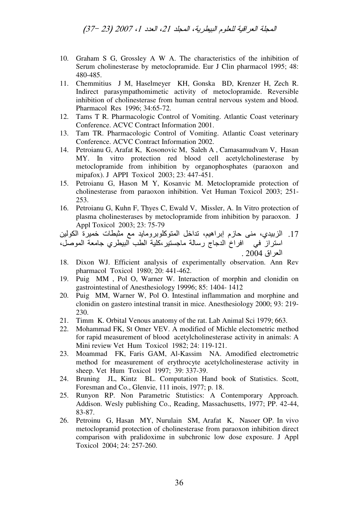- 10. Graham S G, Grossley A W A. The characteristics of the inhibition of Serum cholinesterase by metoclopramide. Eur J Clin pharmacol 1995; 48: 480-485.
- 11. Chemmitius J M. Haselmever KH. Gonska BD. Krenzer H. Zech R. Indirect parasympathomimetic activity of metoclopramide. Reversible inhibition of cholinesterase from human central nervous system and blood. Pharmacol Res 1996; 34:65-72.
- Tams T R. Pharmacologic Control of Vomiting. Atlantic Coast veterinary 12. Conference. ACVC Contract Information 2001.
- Tam TR. Pharmacologic Control of Vomiting. Atlantic Coast veterinary 13. Conference. ACVC Contract Information 2002.
- Petroianu G, Arafat K, Kosonovic M, Saleh A, Camasamudvam V, Hasan 14. MY. In vitro protection red blood cell acetylcholinesterase by metoclopramide from inhibition by organophosphates (paraoxon and mipafox). J APPI Toxicol 2003; 23: 447-451.
- $15.$ Petroianu G, Hason M Y, Kosanvic M. Metoclopramide protection of cholinesterase from paraoxon inhibition. Vet Human Toxicol 2003; 251-253.
- 16. Petroianu G, Kuhn F, Thyes C, Ewald V, Missler, A. In Vitro protection of plasma cholinesterases by metoclopramide from inhibition by paraoxon. J Appl Toxicol 2003: 23: 75-79
- 17. الزبيدي، منى حازم إبراهيم، تداخل المتوكلوبرومايد مع مثبطات خميرة الكولين استرازٌ في افراخُ الدجاجُ رسالة ماجستير،كلية الطب البيطري جامعة الموصل، العراق 2004 .
- 18. Dixon WJ. Efficient analysis of experimentally observation. Ann Rev pharmacol Toxicol 1980; 20: 441-462.
- Puig MM, Pol O, Warner W. Interaction of morphin and clonidin on 19. gastrointestinal of Anesthesiology 19996; 85: 1404-1412
- Puig MM, Warner W, Pol O. Intestinal inflammation and morphine and 20. clonidin on gastero intestinal transit in mice. Anesthesiology 2000; 93: 219-230.
- 21. Timm K. Orbital Venous anatomy of the rat. Lab Animal Sci 1979; 663.
- Mohammad FK, St Omer VEV. A modified of Michle electometric method  $22<sub>1</sub>$ for rapid measurement of blood acetylcholinesterase activity in animals: A Mini review Vet Hum Toxicol 1982; 24: 119-121.
- 23. Moammad FK, Faris GAM, Al-Kassim NA. Amodified electrometric method for measurement of erythrocyte acetylcholinesterase activity in sheep. Vet Hum Toxicol 1997; 39: 337-39.
- Bruning JL, Kintz BL. Computation Hand book of Statistics. Scott, 24. Foresman and Co., Glenvie, 111 inois, 1977; p. 18.
- 25. Runyon RP. Non Parametric Stutistics: A Contemporary Approach. Addison. Wesly publishing Co., Reading, Massachusetts, 1977; PP. 42-44, 83-87.
- 26. Petroinu G, Hasan MY, Nurulain SM, Arafat K, Nasoer OP. In vivo metoclopramid protection of cholinesterase from paraoxon inhibition direct comparison with pralidoxime in subchronic low dose exposure. J Appl Toxicol 2004; 24: 257-260.